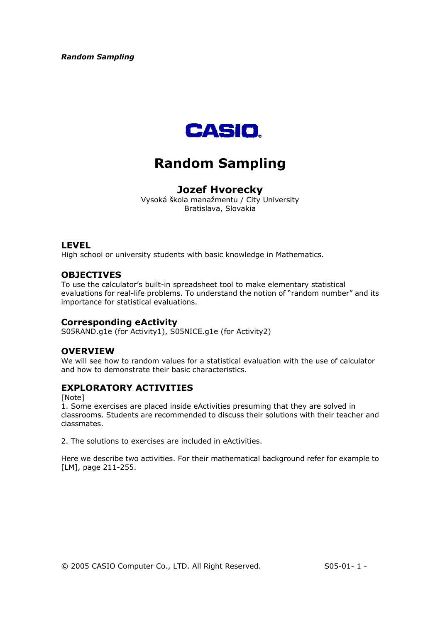*Random Sampling* 



# **Random Sampling**

# **Jozef Hvorecky**

Vysoká škola manažmentu / City University Bratislava, Slovakia

#### **LEVEL**

High school or university students with basic knowledge in Mathematics.

# **OBJECTIVES**

To use the calculator's built-in spreadsheet tool to make elementary statistical evaluations for real-life problems. To understand the notion of "random number" and its importance for statistical evaluations.

## **Corresponding eActivity**

S05RAND.g1e (for Activity1), S05NICE.g1e (for Activity2)

## **OVERVIEW**

We will see how to random values for a statistical evaluation with the use of calculator and how to demonstrate their basic characteristics.

# **EXPLORATORY ACTIVITIES**

[Note]

1. Some exercises are placed inside eActivities presuming that they are solved in classrooms. Students are recommended to discuss their solutions with their teacher and classmates.

2. The solutions to exercises are included in eActivities.

Here we describe two activities. For their mathematical background refer for example to [LM], page 211-255.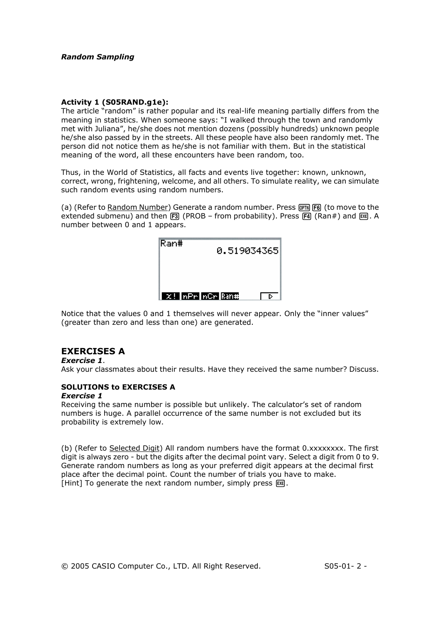#### **Activity 1 (S05RAND.g1e):**

The article "random" is rather popular and its real-life meaning partially differs from the meaning in statistics. When someone says: "I walked through the town and randomly met with Juliana", he/she does not mention dozens (possibly hundreds) unknown people he/she also passed by in the streets. All these people have also been randomly met. The person did not notice them as he/she is not familiar with them. But in the statistical meaning of the word, all these encounters have been random, too.

Thus, in the World of Statistics, all facts and events live together: known, unknown, correct, wrong, frightening, welcome, and all others. To simulate reality, we can simulate such random events using random numbers.

(a) (Refer to Random Number) Generate a random number. Press @m F6 (to move to the extended submenu) and then  $F3$  (PROB – from probability). Press  $F4$  (Ran#) and  $F5R$ . A number between 0 and 1 appears.



Notice that the values 0 and 1 themselves will never appear. Only the "inner values" (greater than zero and less than one) are generated.

# **EXERCISES A**

#### *Exercise 1*.

Ask your classmates about their results. Have they received the same number? Discuss.

#### **SOLUTIONS to EXERCISES A**

#### *Exercise 1*

Receiving the same number is possible but unlikely. The calculator's set of random numbers is huge. A parallel occurrence of the same number is not excluded but its probability is extremely low.

(b) (Refer to Selected Digit) All random numbers have the format 0.xxxxxxxx. The first digit is always zero - but the digits after the decimal point vary. Select a digit from 0 to 9. Generate random numbers as long as your preferred digit appears at the decimal first place after the decimal point. Count the number of trials you have to make. [Hint] To generate the next random number, simply press  $[**xx**]$ .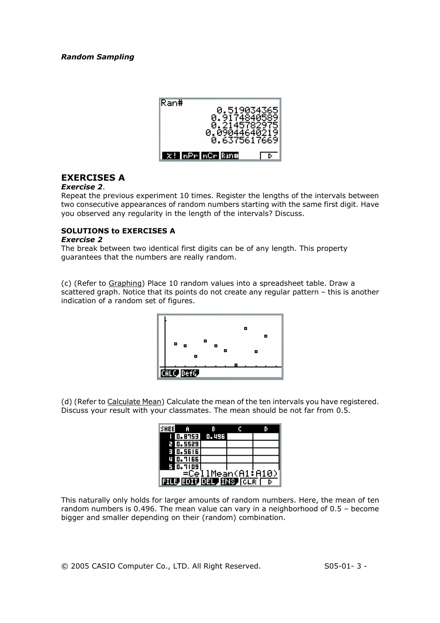

# **EXERCISES A**

#### *Exercise 2*.

Repeat the previous experiment 10 times. Register the lengths of the intervals between two consecutive appearances of random numbers starting with the same first digit. Have you observed any regularity in the length of the intervals? Discuss.

#### **SOLUTIONS to EXERCISES A**

#### *Exercise 2*

The break between two identical first digits can be of any length. This property guarantees that the numbers are really random.

(c) (Refer to Graphing) Place 10 random values into a spreadsheet table. Draw a scattered graph. Notice that its points do not create any regular pattern – this is another indication of a random set of figures.



(d) (Refer to Calculate Mean) Calculate the mean of the ten intervals you have registered. Discuss your result with your classmates. The mean should be not far from 0.5.

| SHEE                           | ю           |               |  |  |  |
|--------------------------------|-------------|---------------|--|--|--|
|                                |             | 10.8753 D.496 |  |  |  |
|                                | FT 0.5529 I |               |  |  |  |
|                                | ET 0.5616   |               |  |  |  |
|                                | 0.1166      |               |  |  |  |
|                                | ET 0.7109   |               |  |  |  |
| =CellMean(A1:A10)              |             |               |  |  |  |
| <b>ELLE EDIT DELL'IRIS CLR</b> |             |               |  |  |  |

This naturally only holds for larger amounts of random numbers. Here, the mean of ten random numbers is 0.496. The mean value can vary in a neighborhood of 0.5 – become bigger and smaller depending on their (random) combination.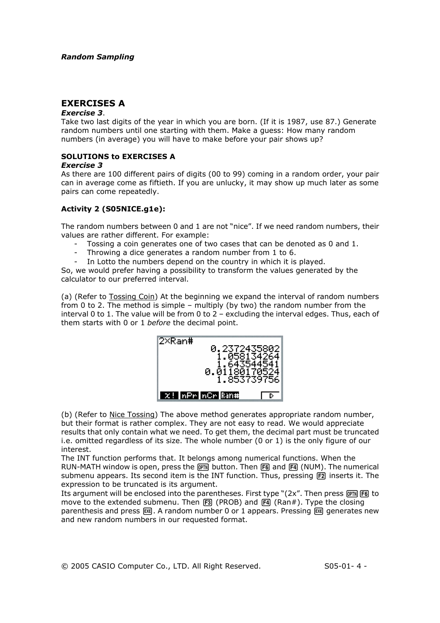# **EXERCISES A**

#### *Exercise 3*.

Take two last digits of the year in which you are born. (If it is 1987, use 87.) Generate random numbers until one starting with them. Make a guess: How many random numbers (in average) you will have to make before your pair shows up?

#### **SOLUTIONS to EXERCISES A**

#### *Exercise 3*

As there are 100 different pairs of digits (00 to 99) coming in a random order, your pair can in average come as fiftieth. If you are unlucky, it may show up much later as some pairs can come repeatedly.

#### **Activity 2 (S05NICE.g1e):**

The random numbers between 0 and 1 are not "nice". If we need random numbers, their values are rather different. For example:

- Tossing a coin generates one of two cases that can be denoted as 0 and 1.
- Throwing a dice generates a random number from 1 to 6.
- In Lotto the numbers depend on the country in which it is played.

So, we would prefer having a possibility to transform the values generated by the calculator to our preferred interval.

(a) (Refer to Tossing Coin) At the beginning we expand the interval of random numbers from 0 to 2. The method is simple – multiply (by two) the random number from the interval 0 to 1. The value will be from 0 to 2 – excluding the interval edges. Thus, each of them starts with 0 or 1 *before* the decimal point.



(b) (Refer to Nice Tossing) The above method generates appropriate random number, but their format is rather complex. They are not easy to read. We would appreciate results that only contain what we need. To get them, the decimal part must be truncated i.e. omitted regardless of its size. The whole number (0 or 1) is the only figure of our interest.

The INT function performs that. It belongs among numerical functions. When the RUN-MATH window is open, press the  $\overline{OPT}$  button. Then  $\overline{FB}$  and  $\overline{FA}$  (NUM). The numerical submenu appears. Its second item is the INT function. Thus, pressing  $F2$  inserts it. The expression to be truncated is its argument.

Its argument will be enclosed into the parentheses. First type " $(2x$ ". Then press  $\phi$ FRI  $\phi$  to move to the extended submenu. Then  $\overline{F3}$  (PROB) and  $\overline{F4}$  (Ran#). Type the closing parenthesis and press  $\mathbb{R}$ . A random number 0 or 1 appears. Pressing  $\mathbb{R}$  generates new and new random numbers in our requested format.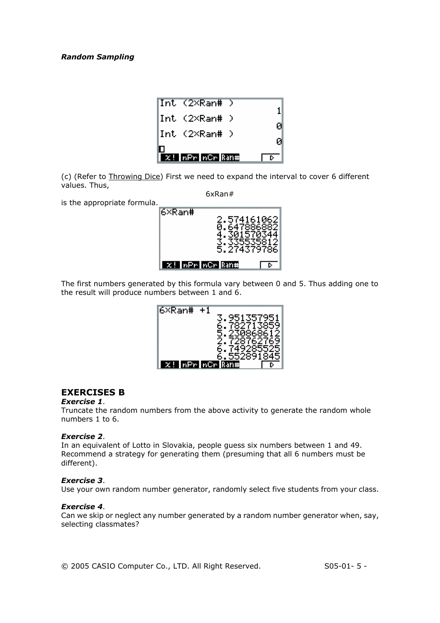#### *Random Sampling*

| <b>X! InPrinCri Ran#</b> | в. |
|--------------------------|----|
| lInt (2×Ran# )           | Ø  |
| Int (2×Ran# )            | Й  |
| Int (2×Ran# )            |    |

(c) (Refer to Throwing Dice) First we need to expand the interval to cover 6 different values. Thus,

6xRan#

is the appropriate formula.

| l6×Ran# | 2.574161062<br>0.647886882<br>4.3015703 | 535812 |
|---------|-----------------------------------------|--------|
|         | 5.274379786                             | D.     |

The first numbers generated by this formula vary between 0 and 5. Thus adding one to the result will produce numbers between 1 and 6.



# **EXERCISES B**

#### *Exercise 1*.

Truncate the random numbers from the above activity to generate the random whole numbers 1 to 6.

#### *Exercise 2*.

In an equivalent of Lotto in Slovakia, people guess six numbers between 1 and 49. Recommend a strategy for generating them (presuming that all 6 numbers must be different).

#### *Exercise 3*.

Use your own random number generator, randomly select five students from your class.

#### *Exercise 4*.

Can we skip or neglect any number generated by a random number generator when, say, selecting classmates?

© 2005 CASIO Computer Co., LTD. All Right Reserved. S05-01-5 -